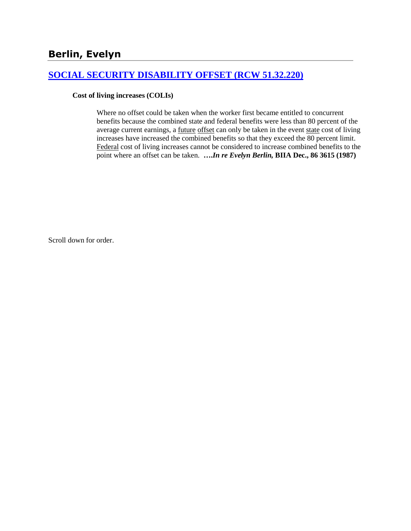## **[SOCIAL SECURITY DISABILITY OFFSET \(RCW 51.32.220\)](http://www.biia.wa.gov/SDSubjectIndex.html#SOCIAL_SECURITY_DISABILITY_OFFSET)**

### **Cost of living increases (COLIs)**

Where no offset could be taken when the worker first became entitled to concurrent benefits because the combined state and federal benefits were less than 80 percent of the average current earnings, a <u>future offset</u> can only be taken in the event state cost of living increases have increased the combined benefits so that they exceed the 80 percent limit. Federal cost of living increases cannot be considered to increase combined benefits to the point where an offset can be taken. **….***In re Evelyn Berlin,* **BIIA Dec., 86 3615 (1987)** 

Scroll down for order.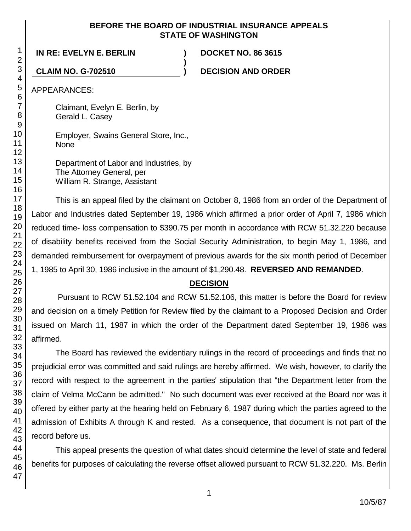### **BEFORE THE BOARD OF INDUSTRIAL INSURANCE APPEALS STATE OF WASHINGTON**

**)**

## **IN RE: EVELYN E. BERLIN ) DOCKET NO. 86 3615**

**CLAIM NO. G-702510 ) DECISION AND ORDER**

APPEARANCES:

Claimant, Evelyn E. Berlin, by Gerald L. Casey

Employer, Swains General Store, Inc., None

Department of Labor and Industries, by The Attorney General, per William R. Strange, Assistant

This is an appeal filed by the claimant on October 8, 1986 from an order of the Department of Labor and Industries dated September 19, 1986 which affirmed a prior order of April 7, 1986 which reduced time- loss compensation to \$390.75 per month in accordance with RCW 51.32.220 because of disability benefits received from the Social Security Administration, to begin May 1, 1986, and demanded reimbursement for overpayment of previous awards for the six month period of December 1, 1985 to April 30, 1986 inclusive in the amount of \$1,290.48. **REVERSED AND REMANDED**.

# **DECISION**

Pursuant to RCW 51.52.104 and RCW 51.52.106, this matter is before the Board for review and decision on a timely Petition for Review filed by the claimant to a Proposed Decision and Order issued on March 11, 1987 in which the order of the Department dated September 19, 1986 was affirmed.

The Board has reviewed the evidentiary rulings in the record of proceedings and finds that no prejudicial error was committed and said rulings are hereby affirmed. We wish, however, to clarify the record with respect to the agreement in the parties' stipulation that "the Department letter from the claim of Velma McCann be admitted." No such document was ever received at the Board nor was it offered by either party at the hearing held on February 6, 1987 during which the parties agreed to the admission of Exhibits A through K and rested. As a consequence, that document is not part of the record before us.

This appeal presents the question of what dates should determine the level of state and federal benefits for purposes of calculating the reverse offset allowed pursuant to RCW 51.32.220. Ms. Berlin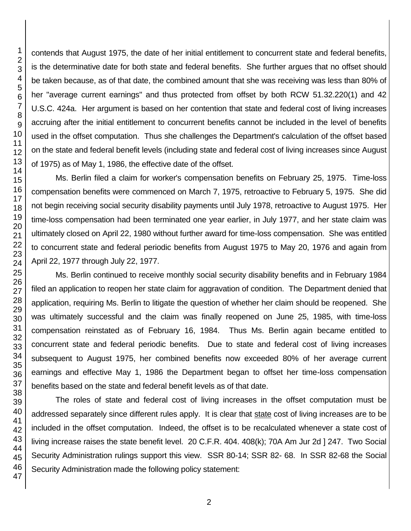contends that August 1975, the date of her initial entitlement to concurrent state and federal benefits, is the determinative date for both state and federal benefits. She further argues that no offset should be taken because, as of that date, the combined amount that she was receiving was less than 80% of her "average current earnings" and thus protected from offset by both RCW 51.32.220(1) and 42 U.S.C. 424a. Her argument is based on her contention that state and federal cost of living increases accruing after the initial entitlement to concurrent benefits cannot be included in the level of benefits used in the offset computation. Thus she challenges the Department's calculation of the offset based on the state and federal benefit levels (including state and federal cost of living increases since August of 1975) as of May 1, 1986, the effective date of the offset.

Ms. Berlin filed a claim for worker's compensation benefits on February 25, 1975. Time-loss compensation benefits were commenced on March 7, 1975, retroactive to February 5, 1975. She did not begin receiving social security disability payments until July 1978, retroactive to August 1975. Her time-loss compensation had been terminated one year earlier, in July 1977, and her state claim was ultimately closed on April 22, 1980 without further award for time-loss compensation. She was entitled to concurrent state and federal periodic benefits from August 1975 to May 20, 1976 and again from April 22, 1977 through July 22, 1977.

Ms. Berlin continued to receive monthly social security disability benefits and in February 1984 filed an application to reopen her state claim for aggravation of condition. The Department denied that application, requiring Ms. Berlin to litigate the question of whether her claim should be reopened. She was ultimately successful and the claim was finally reopened on June 25, 1985, with time-loss compensation reinstated as of February 16, 1984. Thus Ms. Berlin again became entitled to concurrent state and federal periodic benefits. Due to state and federal cost of living increases subsequent to August 1975, her combined benefits now exceeded 80% of her average current earnings and effective May 1, 1986 the Department began to offset her time-loss compensation benefits based on the state and federal benefit levels as of that date.

The roles of state and federal cost of living increases in the offset computation must be addressed separately since different rules apply. It is clear that state cost of living increases are to be included in the offset computation. Indeed, the offset is to be recalculated whenever a state cost of living increase raises the state benefit level. 20 C.F.R. 404. 408(k); 70A Am Jur 2d | 247. Two Social Security Administration rulings support this view. SSR 80-14; SSR 82- 68. In SSR 82-68 the Social Security Administration made the following policy statement: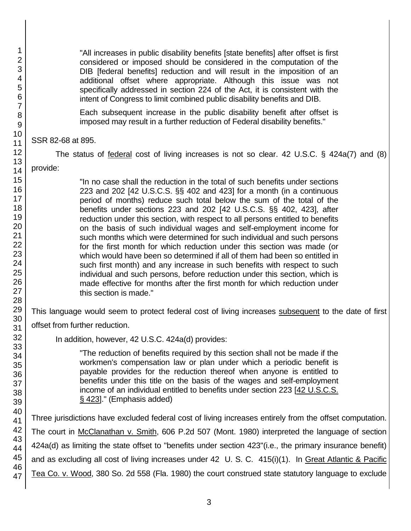"All increases in public disability benefits [state benefits] after offset is first considered or imposed should be considered in the computation of the DIB [federal benefits] reduction and will result in the imposition of an additional offset where appropriate. Although this issue was not specifically addressed in section 224 of the Act, it is consistent with the intent of Congress to limit combined public disability benefits and DIB.

Each subsequent increase in the public disability benefit after offset is imposed may result in a further reduction of Federal disability benefits."

SSR 82-68 at 895.

The status of federal cost of living increases is not so clear. 42 U.S.C. § 424a(7) and (8)

provide:

"In no case shall the reduction in the total of such benefits under sections 223 and 202 [42 U.S.C.S. §§ 402 and 423] for a month (in a continuous period of months) reduce such total below the sum of the total of the benefits under sections 223 and 202 [42 U.S.C.S. §§ 402, 423], after reduction under this section, with respect to all persons entitled to benefits on the basis of such individual wages and self-employment income for such months which were determined for such individual and such persons for the first month for which reduction under this section was made (or which would have been so determined if all of them had been so entitled in such first month) and any increase in such benefits with respect to such individual and such persons, before reduction under this section, which is made effective for months after the first month for which reduction under this section is made."

This language would seem to protect federal cost of living increases subsequent to the date of first

offset from further reduction.

In addition, however, 42 U.S.C. 424a(d) provides:

"The reduction of benefits required by this section shall not be made if the workmen's compensation law or plan under which a periodic benefit is payable provides for the reduction thereof when anyone is entitled to benefits under this title on the basis of the wages and self-employment income of an individual entitled to benefits under section 223 [42 U.S.C.S. § 423]." (Emphasis added)

Three jurisdictions have excluded federal cost of living increases entirely from the offset computation. The court in McClanathan v. Smith, 606 P.2d 507 (Mont. 1980) interpreted the language of section 424a(d) as limiting the state offset to "benefits under section 423"(i.e., the primary insurance benefit) and as excluding all cost of living increases under 42 U. S. C. 415(i)(1). In Great Atlantic & Pacific Tea Co. v. Wood, 380 So. 2d 558 (Fla. 1980) the court construed state statutory language to exclude

1 2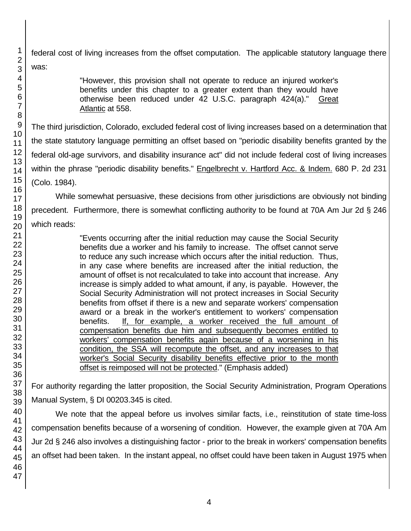federal cost of living increases from the offset computation. The applicable statutory language there was:

> "However, this provision shall not operate to reduce an injured worker's benefits under this chapter to a greater extent than they would have otherwise been reduced under 42 U.S.C. paragraph 424(a)." Great Atlantic at 558.

The third jurisdiction, Colorado, excluded federal cost of living increases based on a determination that the state statutory language permitting an offset based on "periodic disability benefits granted by the federal old-age survivors, and disability insurance act" did not include federal cost of living increases within the phrase "periodic disability benefits." Engelbrecht v. Hartford Acc. & Indem. 680 P. 2d 231 (Colo. 1984).

While somewhat persuasive, these decisions from other jurisdictions are obviously not binding precedent. Furthermore, there is somewhat conflicting authority to be found at 70A Am Jur 2d § 246 which reads:

> "Events occurring after the initial reduction may cause the Social Security benefits due a worker and his family to increase. The offset cannot serve to reduce any such increase which occurs after the initial reduction. Thus, in any case where benefits are increased after the initial reduction, the amount of offset is not recalculated to take into account that increase. Any increase is simply added to what amount, if any, is payable. However, the Social Security Administration will not protect increases in Social Security benefits from offset if there is a new and separate workers' compensation award or a break in the worker's entitlement to workers' compensation benefits. If, for example, a worker received the full amount of compensation benefits due him and subsequently becomes entitled to workers' compensation benefits again because of a worsening in his condition, the SSA will recompute the offset, and any increases to that worker's Social Security disability benefits effective prior to the month offset is reimposed will not be protected." (Emphasis added)

For authority regarding the latter proposition, the Social Security Administration, Program Operations Manual System, § DI 00203.345 is cited.

We note that the appeal before us involves similar facts, i.e., reinstitution of state time-loss compensation benefits because of a worsening of condition. However, the example given at 70A Am Jur 2d § 246 also involves a distinguishing factor - prior to the break in workers' compensation benefits an offset had been taken. In the instant appeal, no offset could have been taken in August 1975 when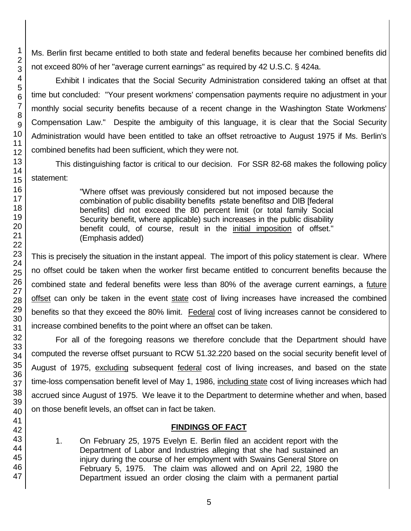Ms. Berlin first became entitled to both state and federal benefits because her combined benefits did not exceed 80% of her "average current earnings" as required by 42 U.S.C. § 424a.

Exhibit I indicates that the Social Security Administration considered taking an offset at that time but concluded: "Your present workmens' compensation payments require no adjustment in your monthly social security benefits because of a recent change in the Washington State Workmens' Compensation Law." Despite the ambiguity of this language, it is clear that the Social Security Administration would have been entitled to take an offset retroactive to August 1975 if Ms. Berlin's combined benefits had been sufficient, which they were not.

This distinguishing factor is critical to our decision. For SSR 82-68 makes the following policy statement:

> "Where offset was previously considered but not imposed because the combination of public disability benefits Fstate benefitsσ and DIB [federal] benefits] did not exceed the 80 percent limit (or total family Social Security benefit, where applicable) such increases in the public disability benefit could, of course, result in the initial imposition of offset." (Emphasis added)

This is precisely the situation in the instant appeal. The import of this policy statement is clear. Where no offset could be taken when the worker first became entitled to concurrent benefits because the combined state and federal benefits were less than 80% of the average current earnings, a future offset can only be taken in the event state cost of living increases have increased the combined benefits so that they exceed the 80% limit. Federal cost of living increases cannot be considered to increase combined benefits to the point where an offset can be taken.

For all of the foregoing reasons we therefore conclude that the Department should have computed the reverse offset pursuant to RCW 51.32.220 based on the social security benefit level of August of 1975, excluding subsequent federal cost of living increases, and based on the state time-loss compensation benefit level of May 1, 1986, including state cost of living increases which had accrued since August of 1975. We leave it to the Department to determine whether and when, based on those benefit levels, an offset can in fact be taken.

# **FINDINGS OF FACT**

1. On February 25, 1975 Evelyn E. Berlin filed an accident report with the Department of Labor and Industries alleging that she had sustained an injury during the course of her employment with Swains General Store on February 5, 1975. The claim was allowed and on April 22, 1980 the Department issued an order closing the claim with a permanent partial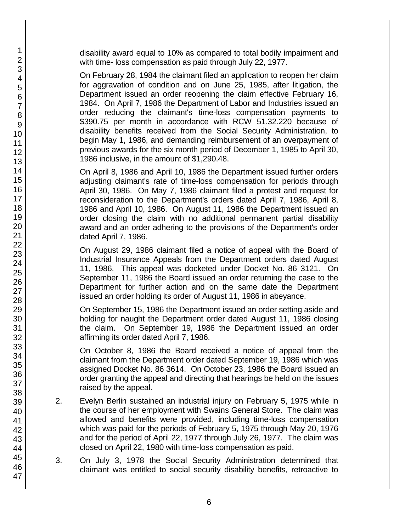disability award equal to 10% as compared to total bodily impairment and with time- loss compensation as paid through July 22, 1977.

On February 28, 1984 the claimant filed an application to reopen her claim for aggravation of condition and on June 25, 1985, after litigation, the Department issued an order reopening the claim effective February 16, 1984. On April 7, 1986 the Department of Labor and Industries issued an order reducing the claimant's time-loss compensation payments to \$390.75 per month in accordance with RCW 51.32.220 because of disability benefits received from the Social Security Administration, to begin May 1, 1986, and demanding reimbursement of an overpayment of previous awards for the six month period of December 1, 1985 to April 30, 1986 inclusive, in the amount of \$1,290.48.

On April 8, 1986 and April 10, 1986 the Department issued further orders adjusting claimant's rate of time-loss compensation for periods through April 30, 1986. On May 7, 1986 claimant filed a protest and request for reconsideration to the Department's orders dated April 7, 1986, April 8, 1986 and April 10, 1986. On August 11, 1986 the Department issued an order closing the claim with no additional permanent partial disability award and an order adhering to the provisions of the Department's order dated April 7, 1986.

On August 29, 1986 claimant filed a notice of appeal with the Board of Industrial Insurance Appeals from the Department orders dated August 11, 1986. This appeal was docketed under Docket No. 86 3121. On September 11, 1986 the Board issued an order returning the case to the Department for further action and on the same date the Department issued an order holding its order of August 11, 1986 in abeyance.

On September 15, 1986 the Department issued an order setting aside and holding for naught the Department order dated August 11, 1986 closing the claim. On September 19, 1986 the Department issued an order affirming its order dated April 7, 1986.

On October 8, 1986 the Board received a notice of appeal from the claimant from the Department order dated September 19, 1986 which was assigned Docket No. 86 3614. On October 23, 1986 the Board issued an order granting the appeal and directing that hearings be held on the issues raised by the appeal.

- 2. Evelyn Berlin sustained an industrial injury on February 5, 1975 while in the course of her employment with Swains General Store. The claim was allowed and benefits were provided, including time-loss compensation which was paid for the periods of February 5, 1975 through May 20, 1976 and for the period of April 22, 1977 through July 26, 1977. The claim was closed on April 22, 1980 with time-loss compensation as paid.
- 3. On July 3, 1978 the Social Security Administration determined that claimant was entitled to social security disability benefits, retroactive to